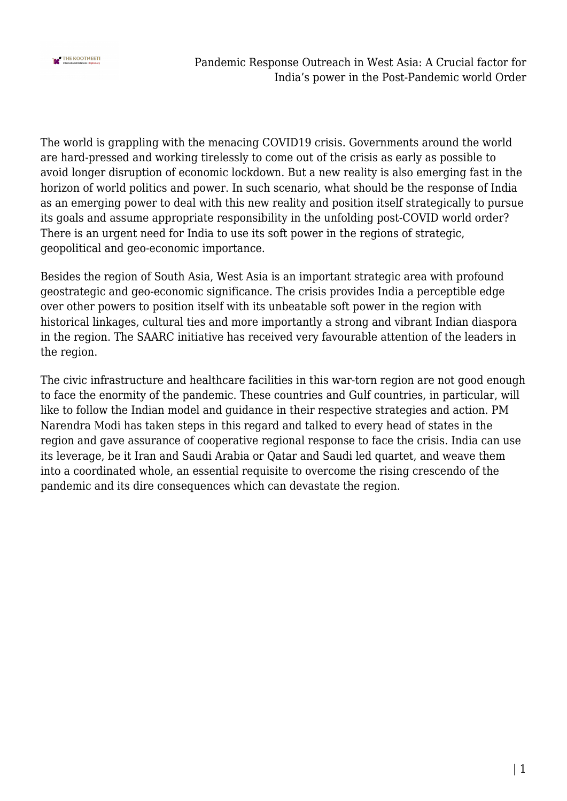

The world is grappling with the menacing COVID19 crisis. Governments around the world are hard-pressed and working tirelessly to come out of the crisis as early as possible to avoid longer disruption of economic lockdown. But a new reality is also emerging fast in the horizon of world politics and power. In such scenario, what should be the response of India as an emerging power to deal with this new reality and position itself strategically to pursue its goals and assume appropriate responsibility in the unfolding post-COVID world order? There is an urgent need for India to use its soft power in the regions of strategic, geopolitical and geo-economic importance.

Besides the region of South Asia, West Asia is an important strategic area with profound geostrategic and geo-economic significance. The crisis provides India a perceptible edge over other powers to position itself with its unbeatable soft power in the region with historical linkages, cultural ties and more importantly a strong and vibrant Indian diaspora in the region. The SAARC initiative has received very favourable attention of the leaders in the region.

The civic infrastructure and healthcare facilities in this war-torn region are not good enough to face the enormity of the pandemic. These countries and Gulf countries, in particular, will like to follow the Indian model and guidance in their respective strategies and action. PM Narendra Modi has taken steps in this regard and talked to every head of states in the region and gave assurance of cooperative regional response to face the crisis. India can use its leverage, be it Iran and Saudi Arabia or Qatar and Saudi led quartet, and weave them into a coordinated whole, an essential requisite to overcome the rising crescendo of the pandemic and its dire consequences which can devastate the region.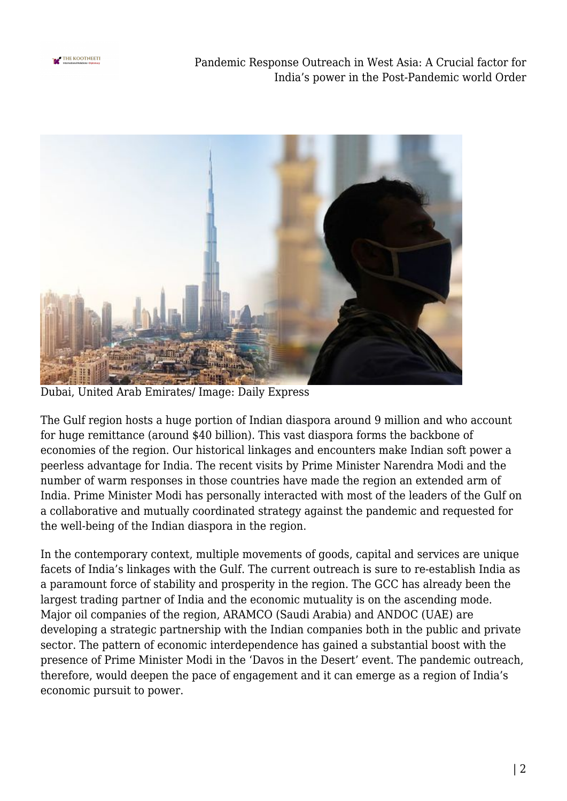

Pandemic Response Outreach in West Asia: A Crucial factor for India's power in the Post-Pandemic world Order



Dubai, United Arab Emirates/ Image: Daily Express

The Gulf region hosts a huge portion of Indian diaspora around 9 million and who account for huge remittance (around \$40 billion). This vast diaspora forms the backbone of economies of the region. Our historical linkages and encounters make Indian soft power a peerless advantage for India. The recent visits by Prime Minister Narendra Modi and the number of warm responses in those countries have made the region an extended arm of India. Prime Minister Modi has personally interacted with most of the leaders of the Gulf on a collaborative and mutually coordinated strategy against the pandemic and requested for the well-being of the Indian diaspora in the region.

In the contemporary context, multiple movements of goods, capital and services are unique facets of India's linkages with the Gulf. The current outreach is sure to re-establish India as a paramount force of stability and prosperity in the region. The GCC has already been the largest trading partner of India and the economic mutuality is on the ascending mode. Major oil companies of the region, ARAMCO (Saudi Arabia) and ANDOC (UAE) are developing a strategic partnership with the Indian companies both in the public and private sector. The pattern of economic interdependence has gained a substantial boost with the presence of Prime Minister Modi in the 'Davos in the Desert' event. The pandemic outreach, therefore, would deepen the pace of engagement and it can emerge as a region of India's economic pursuit to power.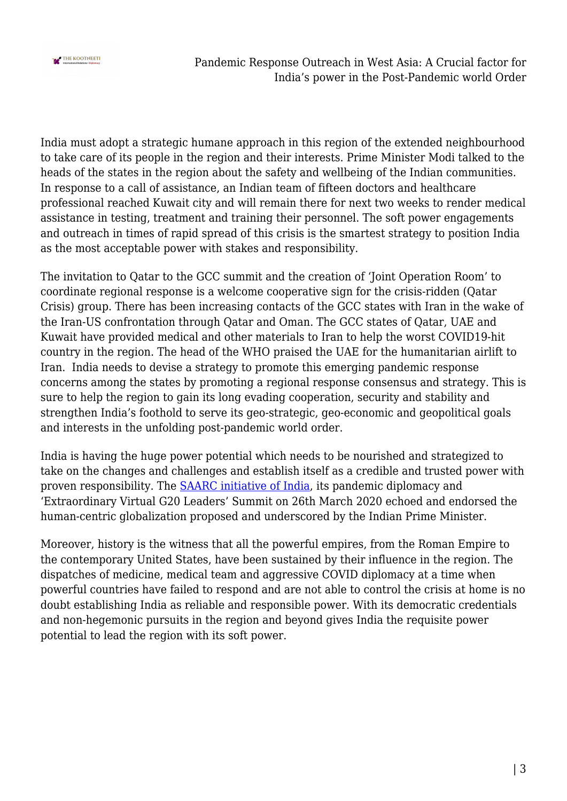

India must adopt a strategic humane approach in this region of the extended neighbourhood to take care of its people in the region and their interests. Prime Minister Modi talked to the heads of the states in the region about the safety and wellbeing of the Indian communities. In response to a call of assistance, an Indian team of fifteen doctors and healthcare professional reached Kuwait city and will remain there for next two weeks to render medical assistance in testing, treatment and training their personnel. The soft power engagements and outreach in times of rapid spread of this crisis is the smartest strategy to position India as the most acceptable power with stakes and responsibility.

The invitation to Qatar to the GCC summit and the creation of 'Joint Operation Room' to coordinate regional response is a welcome cooperative sign for the crisis-ridden (Qatar Crisis) group. There has been increasing contacts of the GCC states with Iran in the wake of the Iran-US confrontation through Qatar and Oman. The GCC states of Qatar, UAE and Kuwait have provided medical and other materials to Iran to help the worst COVID19-hit country in the region. The head of the WHO praised the UAE for the humanitarian airlift to Iran. India needs to devise a strategy to promote this emerging pandemic response concerns among the states by promoting a regional response consensus and strategy. This is sure to help the region to gain its long evading cooperation, security and stability and strengthen India's foothold to serve its geo-strategic, geo-economic and geopolitical goals and interests in the unfolding post-pandemic world order.

India is having the huge power potential which needs to be nourished and strategized to take on the changes and challenges and establish itself as a credible and trusted power with proven responsibility. The [SAARC initiative of India,](https://thekootneeti.in/2020/04/06/the-resurrection-of-saarc-india-leads-the-way/) its pandemic diplomacy and 'Extraordinary Virtual G20 Leaders' Summit on 26th March 2020 echoed and endorsed the human-centric globalization proposed and underscored by the Indian Prime Minister.

Moreover, history is the witness that all the powerful empires, from the Roman Empire to the contemporary United States, have been sustained by their influence in the region. The dispatches of medicine, medical team and aggressive COVID diplomacy at a time when powerful countries have failed to respond and are not able to control the crisis at home is no doubt establishing India as reliable and responsible power. With its democratic credentials and non-hegemonic pursuits in the region and beyond gives India the requisite power potential to lead the region with its soft power.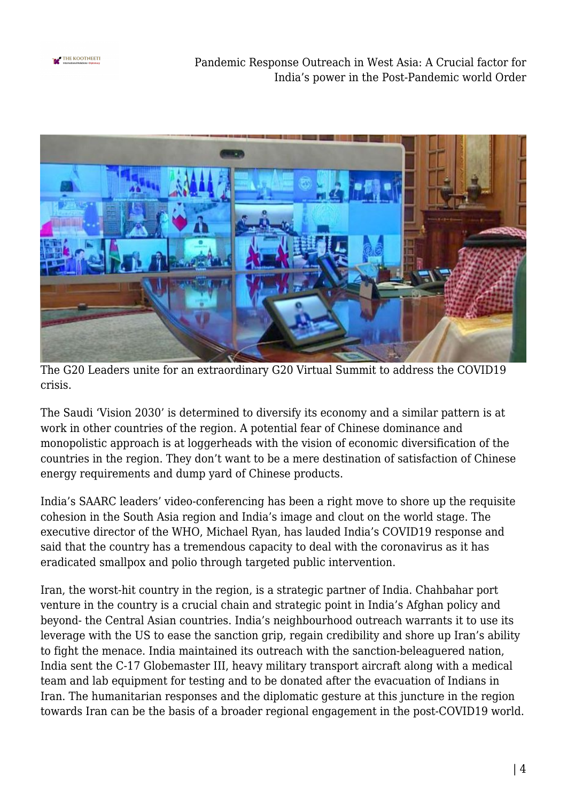



The G20 Leaders unite for an extraordinary G20 Virtual Summit to address the COVID19 crisis.

The Saudi 'Vision 2030' is determined to diversify its economy and a similar pattern is at work in other countries of the region. A potential fear of Chinese dominance and monopolistic approach is at loggerheads with the vision of economic diversification of the countries in the region. They don't want to be a mere destination of satisfaction of Chinese energy requirements and dump yard of Chinese products.

India's SAARC leaders' video-conferencing has been a right move to shore up the requisite cohesion in the South Asia region and India's image and clout on the world stage. The executive director of the WHO, Michael Ryan, has lauded India's COVID19 response and said that the country has a tremendous capacity to deal with the coronavirus as it has eradicated smallpox and polio through targeted public intervention.

Iran, the worst-hit country in the region, is a strategic partner of India. Chahbahar port venture in the country is a crucial chain and strategic point in India's Afghan policy and beyond- the Central Asian countries. India's neighbourhood outreach warrants it to use its leverage with the US to ease the sanction grip, regain credibility and shore up Iran's ability to fight the menace. India maintained its outreach with the sanction-beleaguered nation, India sent the C-17 Globemaster III, heavy military transport aircraft along with a medical team and lab equipment for testing and to be donated after the evacuation of Indians in Iran. The humanitarian responses and the diplomatic gesture at this juncture in the region towards Iran can be the basis of a broader regional engagement in the post-COVID19 world.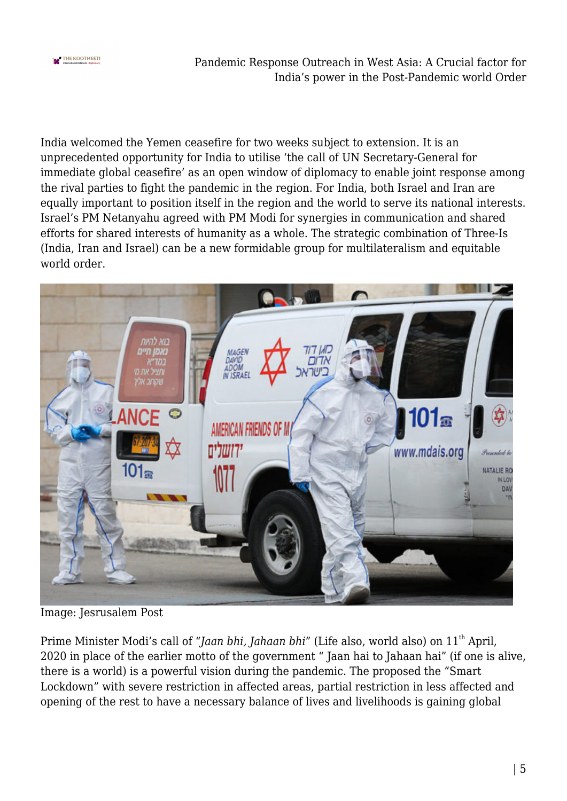

Pandemic Response Outreach in West Asia: A Crucial factor for India's power in the Post-Pandemic world Order

India welcomed the Yemen ceasefire for two weeks subject to extension. It is an unprecedented opportunity for India to utilise 'the call of UN Secretary-General for immediate global ceasefire' as an open window of diplomacy to enable joint response among the rival parties to fight the pandemic in the region. For India, both Israel and Iran are equally important to position itself in the region and the world to serve its national interests. Israel's PM Netanyahu agreed with PM Modi for synergies in communication and shared efforts for shared interests of humanity as a whole. The strategic combination of Three-Is (India, Iran and Israel) can be a new formidable group for multilateralism and equitable world order.



Image: Jesrusalem Post

Prime Minister Modi's call of "*Jaan bhi, Jahaan bhi"* (Life also, world also) on 11<sup>th</sup> April, 2020 in place of the earlier motto of the government " Jaan hai to Jahaan hai" (if one is alive, there is a world) is a powerful vision during the pandemic. The proposed the "Smart Lockdown" with severe restriction in affected areas, partial restriction in less affected and opening of the rest to have a necessary balance of lives and livelihoods is gaining global